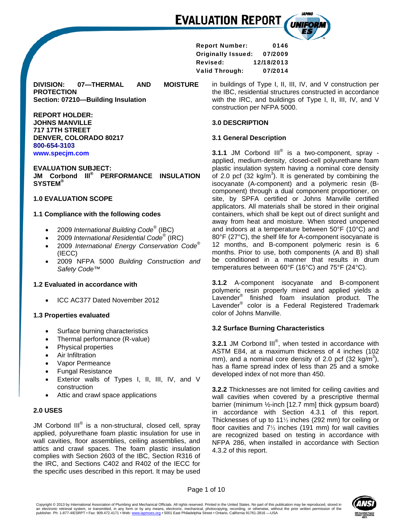Report Number: 0146 Originally Issued: 07/2009 Revised: 12/18/2013 Valid Through: 07/2014

**DIVISION: 07—THERMAL AND MOISTURE PROTECTION Section: 07210—Building Insulation** 

**REPORT HOLDER: JOHNS MANVILLE 717 17TH STREET DENVER, COLORADO 80217 800-654-3103 www.specjm.com**

**EVALUATION SUBJECT: JM Corbond lll® PERFORMANCE INSULATION SYSTEM®**

#### **1.0 EVALUATION SCOPE**

#### **1.1 Compliance with the following codes**

- 2009 *International Building Code*® (IBC)
- 2009 *International Residential Code*® (IRC)
- 2009 *International Energy Conservation Code*® (IECC)
- 2009 NFPA 5000 *Building Construction and Safety Code™*

#### **1.2 Evaluated in accordance with**

ICC AC377 Dated November 2012

# **1.3 Properties evaluated**

- Surface burning characteristics
- Thermal performance (R-value)
- Physical properties
- Air Infiltration
- Vapor Permeance
- Fungal Resistance
- Exterior walls of Types I, II, III, IV, and V construction
- Attic and crawl space applications

#### **2.0 USES**

JM Corbond III<sup>®</sup> is a non-structural, closed cell, spray applied, polyurethane foam plastic insulation for use in wall cavities, floor assemblies, ceiling assemblies, and attics and crawl spaces. The foam plastic insulation complies with Section 2603 of the IBC, Section R316 of the IRC, and Sections C402 and R402 of the IECC for the specific uses described in this report. It may be used

in buildings of Type I, II, III, IV, and V construction per the IBC, residential structures constructed in accordance with the IRC, and buildings of Type I, II, III, IV, and V construction per NFPA 5000.

UNIFOI

# **3.0 DESCRIPTION**

## **3.1 General Description**

**3.1.1** JM Corbond III<sup>®</sup> is a two-component, spray applied, medium-density, closed-cell polyurethane foam plastic insulation system having a nominal core density of 2.0 pcf (32 kg/m<sup>3</sup>). It is generated by combining the isocyanate (A-component) and a polymeric resin (Bcomponent) through a dual component proportioner, on site, by SPFA certified or Johns Manville certified applicators. All materials shall be stored in their original containers, which shall be kept out of direct sunlight and away from heat and moisture. When stored unopened and indoors at a temperature between 50°F (10°C) and 80°F (27°C), the shelf life for A-component isocyanate is 12 months, and B-component polymeric resin is 6 months. Prior to use, both components (A and B) shall be conditioned in a manner that results in drum temperatures between 60°F (16°C) and 75°F (24°C).

**3.1.2** A-component isocyanate and B-component polymeric resin properly mixed and applied yields a Lavender® finished foam insulation product. The Lavender® color is a Federal Registered Trademark color of Johns Manville.

# **3.2 Surface Burning Characteristics**

**3.2.1** JM Corbond III<sup>®</sup>, when tested in accordance with ASTM E84, at a maximum thickness of 4 inches (102 mm), and a nominal core density of 2.0 pcf (32 kg/m<sup>3</sup>), has a flame spread index of less than 25 and a smoke developed index of not more than 450.

**3.2.2** Thicknesses are not limited for ceiling cavities and wall cavities when covered by a prescriptive thermal barrier (minimum ½-inch [12.7 mm] thick gypsum board) in accordance with Section 4.3.1 of this report. Thicknesses of up to 11½ inches (292 mm) for ceiling or floor cavities and  $7\frac{1}{2}$  inches (191 mm) for wall cavities are recognized based on testing in accordance with NFPA 286, when installed in accordance with Section 4.3.2 of this report.

Page 1 of 10

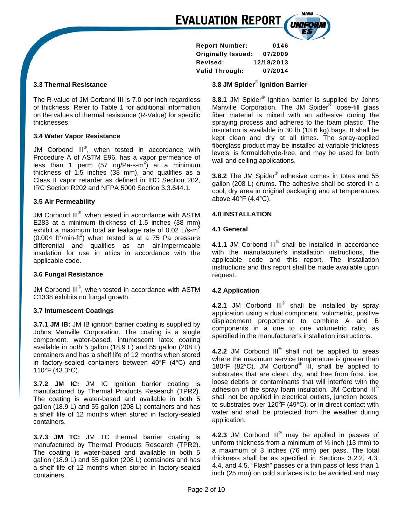Report Number: 0146 Originally Issued: 07/2009 Revised: 12/18/2013 Valid Through: 07/2014

## **3.3 Thermal Resistance**

The R-value of JM Corbond III is 7.0 per inch regardless of thickness. Refer to Table 1 for additional information on the values of thermal resistance (R-Value) for specific thicknesses.

# **3.4 Water Vapor Resistance**

JM Corbond  $III^@$ , when tested in accordance with Procedure A of ASTM E96, has a vapor permeance of less than 1 perm (57 ng/Pa-s-m<sup>2</sup>) at a minimum thickness of 1.5 inches (38 mm), and qualifies as a Class II vapor retarder as defined in IBC Section 202, IRC Section R202 and NFPA 5000 Section 3.3.644.1.

## **3.5 Air Permeability**

JM Corbond III<sup>®</sup>, when tested in accordance with ASTM E283 at a minimum thickness of 1.5 inches (38 mm) exhibit a maximum total air leakage rate of 0.02  $\text{L/s-m}^2$  $(0.004 \text{ ft}^3/\text{min-ft}^2)$  when tested is at a 75 Pa pressure differential and qualifies as an air-impermeable insulation for use in attics in accordance with the applicable code.

#### **3.6 Fungal Resistance**

JM Corbond III<sup>®</sup>, when tested in accordance with ASTM C1338 exhibits no fungal growth.

#### **3.7 Intumescent Coatings**

**3.7.1 JM IB:** JM IB ignition barrier coating is supplied by Johns Manville Corporation. The coating is a single component, water-based, intumescent latex coating available in both 5 gallon (18.9 L) and 55 gallon (208 L) containers and has a shelf life of 12 months when stored in factory-sealed containers between 40°F (4°C) and 110°F (43.3°C).

**3.7.2 JM IC:** JM IC ignition barrier coating is manufactured by Thermal Products Research (TPR2). The coating is water-based and available in both 5 gallon (18.9 L) and 55 gallon (208 L) containers and has a shelf life of 12 months when stored in factory-sealed containers.

**3.7.3 JM TC:** JM TC thermal barrier coating is manufactured by Thermal Products Research (TPR2). The coating is water-based and available in both 5 gallon (18.9 L) and 55 gallon (208 L) containers and has a shelf life of 12 months when stored in factory-sealed containers.

# **3.8 JM Spider® Ignition Barrier**

**3.8.1** JM Spider® ignition barrier is supplied by Johns Manville Corporation. The JM Spider<sup>®</sup> loose-fill glass fiber material is mixed with an adhesive during the spraying process and adheres to the foam plastic. The insulation is available in 30 lb (13.6 kg) bags. It shall be kept clean and dry at all times. The spray-applied fiberglass product may be installed at variable thickness levels, is formaldehyde-free, and may be used for both wall and ceiling applications.

**3.8.2** The JM Spider® adhesive comes in totes and 55 gallon (208 L) drums. The adhesive shall be stored in a cool, dry area in original packaging and at temperatures above 40°F (4.4°C).

## **4.0 INSTALLATION**

## **4.1 General**

**4.1.1** JM Corbond III<sup>®</sup> shall be installed in accordance with the manufacturer's installation instructions, the applicable code and this report. The installation instructions and this report shall be made available upon request.

#### **4.2 Application**

**4.2.1** JM Corbond III<sup>®</sup> shall be installed by spray application using a dual component, volumetric, positive displacement proportioner to combine A and B components in a one to one volumetric ratio, as specified in the manufacturer's installation instructions.

**4.2.2** JM Corbond III® shall not be applied to areas where the maximum service temperature is greater than 180°F (82°C). JM Corbond<sup>®</sup> III, shall be applied to substrates that are clean, dry, and free from frost, ice, loose debris or contaminants that will interfere with the adhesion of the spray foam insulation. JM Corbond  $III^{\circledcirc}$ shall not be applied in electrical outlets, junction boxes, to substrates over  $120^{\circ}F(49^{\circ}C)$ , or in direct contact with water and shall be protected from the weather during application.

**4.2.3** JM Corbond III® may be applied in passes of uniform thickness from a minimum of  $\frac{1}{2}$  inch (13 mm) to a maximum of 3 inches (76 mm) per pass. The total thickness shall be as specified in Sections 3.2.2, 4.3, 4.4, and 4.5. "Flash" passes or a thin pass of less than 1 inch (25 mm) on cold surfaces is to be avoided and may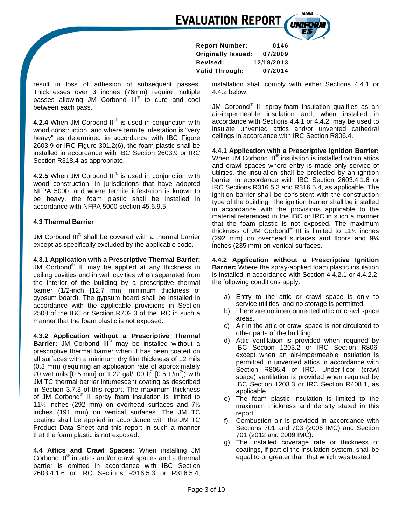

result in loss of adhesion of subsequent passes. Thicknesses over 3 inches (76mm) require multiple passes allowing JM Corbond III<sup>®</sup> to cure and cool between each pass.

**4.2.4** When JM Corbond III<sup>®</sup> is used in conjunction with wood construction, and where termite infestation is "very heavy" as determined in accordance with IBC Figure 2603.9 or IRC Figure 301.2(6), the foam plastic shall be installed in accordance with IBC Section 2603.9 or IRC Section R318.4 as appropriate.

**4.2.5** When JM Corbond III<sup>®</sup> is used in conjunction with wood construction, in jurisdictions that have adopted NFPA 5000, and where termite infestation is known to be heavy, the foam plastic shall be installed in accordance with NFPA 5000 section 45.6.9.5.

## **4.3 Thermal Barrier**

JM Corbond  $\mathsf{III}^\circledast$  shall be covered with a thermal barrier except as specifically excluded by the applicable code.

**4.3.1 Application with a Prescriptive Thermal Barrier:**  JM Corbond® III may be applied at any thickness in ceiling cavities and in wall cavities when separated from the interior of the building by a prescriptive thermal barrier (1/2-inch [12.7 mm] minimum thickness of gypsum board). The gypsum board shall be installed in accordance with the applicable provisions in Section 2508 of the IBC or Section R702.3 of the IRC in such a manner that the foam plastic is not exposed.

**4.3.2 Application without a Prescriptive Thermal**  Barrier: JM Corbond III<sup>®</sup> may be installed without a prescriptive thermal barrier when it has been coated on all surfaces with a minimum dry film thickness of 12 mils (0.3 mm) (requiring an application rate of approximately 20 wet mils  $[0.5 \text{ mm}]$  or 1.22 gal/100 ft<sup>2</sup>  $[0.5 \text{ L/m}^2]$ ) with JM TC thermal barrier intumescent coating as described in Section 3.7.3 of this report. The maximum thickness of JM Corbond<sup>®</sup> III spray foam insulation is limited to 11½ inches (292 mm) on overhead surfaces and 7½ inches (191 mm) on vertical surfaces. The JM TC coating shall be applied in accordance with the JM TC Product Data Sheet and this report in such a manner that the foam plastic is not exposed.

**4.4 Attics and Crawl Spaces:** When installing JM Corbond III<sup>®</sup> in attics and/or crawl spaces and a thermal barrier is omitted in accordance with IBC Section 2603.4.1.6 or IRC Sections R316.5.3 or R316.5.4,

Report Number: 0146 Originally Issued: 07/2009 Revised: 12/18/2013 Valid Through: 07/2014

> installation shall comply with either Sections 4.4.1 or 4.4.2 below.

> JM Corbond<sup>®</sup> III spray-foam insulation qualifies as an air-impermeable insulation and, when installed in accordance with Sections 4.4.1 or 4.4.2, may be used to insulate unvented attics and/or unvented cathedral ceilings in accordance with IRC Section R806.4.

> **4.4.1 Application with a Prescriptive Ignition Barrier:**  When JM Corbond III<sup>®</sup> insulation is installed within attics and crawl spaces where entry is made only service of utilities, the insulation shall be protected by an ignition barrier in accordance with IBC Section 2603.4.1.6 or IRC Sections R316.5.3 and R316.5.4, as applicable. The ignition barrier shall be consistent with the construction type of the building. The ignition barrier shall be installed in accordance with the provisions applicable to the material referenced in the IBC or IRC in such a manner that the foam plastic is not exposed. The maximum thickness of JM Corbond<sup>®</sup> III is limited to 11½ inches (292 mm) on overhead surfaces and floors and 9¼ inches (235 mm) on vertical surfaces.

> **4.4.2 Application without a Prescriptive Ignition Barrier:** Where the spray-applied foam plastic insulation is installed in accordance with Section 4.4.2.1 or 4.4.2.2, the following conditions apply:

- a) Entry to the attic or crawl space is only to service utilities, and no storage is permitted.
- b) There are no interconnected attic or crawl space areas.
- c) Air in the attic or crawl space is not circulated to other parts of the building.
- d) Attic ventilation is provided when required by IBC Section 1203.2 or IRC Section R806, except when an air-impermeable insulation is permitted in unvented attics in accordance with Section R806.4 of IRC. Under-floor (crawl space) ventilation is provided when required by IBC Section 1203.3 or IRC Section R408.1, as applicable.
- e) The foam plastic insulation is limited to the maximum thickness and density stated in this report.
- f) Combustion air is provided in accordance with Sections 701 and 703 (2006 IMC) and Section 701 (2012 and 2009 IMC).
- g) The installed coverage rate or thickness of coatings, if part of the insulation system, shall be equal to or greater than that which was tested.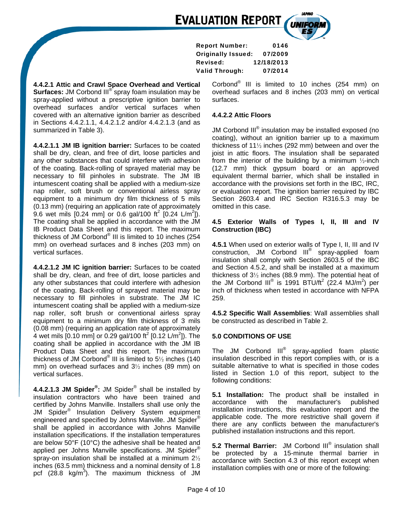Report Number: 0146 Originally Issued: 07/2009 Revised: 12/18/2013 Valid Through: 07/2014

**4.4.2.1 Attic and Crawl Space Overhead and Vertical Surfaces:** JM Corbond III<sup>®</sup> spray foam insulation may be spray-applied without a prescriptive ignition barrier to overhead surfaces and/or vertical surfaces when covered with an alternative ignition barrier as described in Sections 4.4.2.1.1, 4.4.2.1.2 and/or 4.4.2.1.3 (and as summarized in Table 3).

**4.4.2.1.1 JM IB ignition barrier:** Surfaces to be coated shall be dry, clean, and free of dirt, loose particles and any other substances that could interfere with adhesion of the coating. Back-rolling of sprayed material may be necessary to fill pinholes in substrate. The JM IB intumescent coating shall be applied with a medium-size nap roller, soft brush or conventional airless spray equipment to a minimum dry film thickness of 5 mils (0.13 mm) (requiring an application rate of approximately 9.6 wet mils  $[0.24 \text{ mm}]$  or 0.6 gal/100 ft<sup>2</sup>  $[0.24 \text{ L/m}^2]$ ). The coating shall be applied in accordance with the JM IB Product Data Sheet and this report. The maximum thickness of JM Corbond<sup>®</sup> III is limited to 10 inches (254 mm) on overhead surfaces and 8 inches (203 mm) on vertical surfaces.

**4.4.2.1.2 JM IC ignition barrier:** Surfaces to be coated shall be dry, clean, and free of dirt, loose particles and any other substances that could interfere with adhesion of the coating. Back-rolling of sprayed material may be necessary to fill pinholes in substrate. The JM IC intumescent coating shall be applied with a medium-size nap roller, soft brush or conventional airless spray equipment to a minimum dry film thickness of 3 mils (0.08 mm) (requiring an application rate of approximately 4 wet mils  $[0.10 \text{ mm}]$  or 0.29 gal/100 ft<sup>2</sup>  $[0.12 \text{ L/m}^2]$ ). The coating shall be applied in accordance with the JM IB Product Data Sheet and this report. The maximum thickness of JM Corbond<sup>®</sup> III is limited to 5 $\frac{1}{2}$  inches (140 mm) on overhead surfaces and 3½ inches (89 mm) on vertical surfaces.

**4.4.2.1.3 JM Spider® :** JM Spider® shall be installed by insulation contractors who have been trained and certified by Johns Manville. Installers shall use only the JM Spider® Insulation Delivery System equipment engineered and specified by Johns Manville. JM Spider® shall be applied in accordance with Johns Manville installation specifications. If the installation temperatures are below 50°F (10°C) the adhesive shall be heated and applied per Johns Manville specifications. JM Spider® spray-on insulation shall be installed at a minimum 2½ inches (63.5 mm) thickness and a nominal density of 1.8 pcf  $(28.8 \text{ kg/m}^3)$ . The maximum thickness of JM

Corbond<sup>®</sup> III is limited to 10 inches (254 mm) on overhead surfaces and 8 inches (203 mm) on vertical surfaces.

# **4.4.2.2 Attic Floors**

JM Corbond III<sup>®</sup> insulation may be installed exposed (no coating), without an ignition barrier up to a maximum thickness of 11½ inches (292 mm) between and over the joist in attic floors. The insulation shall be separated from the interior of the building by a minimum  $\frac{1}{2}$ -inch (12.7 mm) thick gypsum board or an approved equivalent thermal barrier, which shall be installed in accordance with the provisions set forth in the IBC, IRC, or evaluation report. The ignition barrier required by IBC Section 2603.4 and IRC Section R316.5.3 may be omitted in this case.

## **4.5 Exterior Walls of Types I, II, III and IV Construction (IBC)**

**4.5.1** When used on exterior walls of Type I, II, III and IV construction, JM Corbond III<sup>®</sup> spray-applied foam insulation shall comply with Section 2603.5 of the IBC and Section 4.5.2, and shall be installed at a maximum thickness of 3½ inches (88.9 mm). The potential heat of the JM Corbond III<sup>®</sup> is 1991 BTU/ft<sup>2</sup> (22.4 MJ/m<sup>2</sup>) per inch of thickness when tested in accordance with NFPA 259.

**4.5.2 Specific Wall Assemblies**: Wall assemblies shall be constructed as described in Table 2.

# **5.0 CONDITIONS OF USE**

The JM Corbond III<sup>®</sup> spray-applied foam plastic insulation described in this report complies with, or is a suitable alternative to what is specified in those codes listed in Section 1.0 of this report, subject to the following conditions:

**5.1 Installation:** The product shall be installed in accordance with the manufacturer's published installation instructions, this evaluation report and the applicable code. The more restrictive shall govern if there are any conflicts between the manufacturer's published installation instructions and this report.

**5.2 Thermal Barrier:** JM Corbond III® insulation shall be protected by a 15-minute thermal barrier in accordance with Section 4.3 of this report except when installation complies with one or more of the following: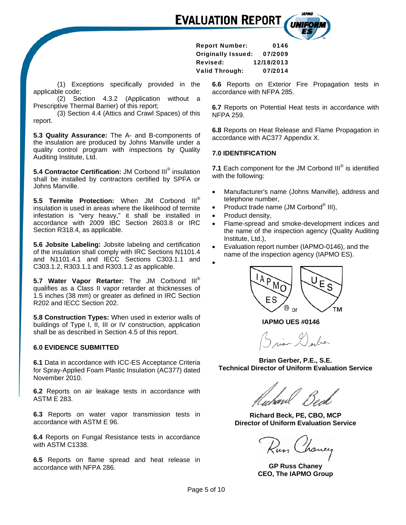Report Number: 0146 Originally Issued: 07/2009 Revised: 12/18/2013 Valid Through: 07/2014

(1) Exceptions specifically provided in the applicable code;

(2) Section 4.3.2 (Application without a Prescriptive Thermal Barrier) of this report;

(3) Section 4.4 (Attics and Crawl Spaces) of this report.

**5.3 Quality Assurance:** The A- and B-components of the insulation are produced by Johns Manville under a quality control program with inspections by Quality Auditing Institute, Ltd.

**5.4 Contractor Certification:** JM Corbond III<sup>®</sup> insulation shall be installed by contractors certified by SPFA or Johns Manville.

**5.5 Termite Protection:** When JM Corbond III® insulation is used in areas where the likelihood of termite infestation is "very heavy," it shall be installed in accordance with 2009 IBC Section 2603.8 or IRC Section R318.4, as applicable.

**5.6 Jobsite Labeling:** Jobsite labeling and certification of the insulation shall comply with IRC Sections N1101.4 and N1101.4.1 and IECC Sections C303.1.1 and C303.1.2, R303.1.1 and R303.1.2 as applicable.

**5.7 Water Vapor Retarter:** The JM Corbond III® qualifies as a Class II vapor retarder at thicknesses of 1.5 inches (38 mm) or greater as defined in IRC Section R202 and IECC Section 202.

**5.8 Construction Types:** When used in exterior walls of buildings of Type I, II, III or IV construction, application shall be as described in Section 4.5 of this report.

## **6.0 EVIDENCE SUBMITTED**

**6.1** Data in accordance with ICC-ES Acceptance Criteria for Spray-Applied Foam Plastic Insulation (AC377) dated November 2010.

**6.2** Reports on air leakage tests in accordance with ASTM E 283.

**6.3** Reports on water vapor transmission tests in accordance with ASTM E 96.

**6.4** Reports on Fungal Resistance tests in accordance with ASTM C1338.

**6.5** Reports on flame spread and heat release in accordance with NFPA 286.

**6.6** Reports on Exterior Fire Propagation tests in accordance with NFPA 285.

**6.7** Reports on Potential Heat tests in accordance with NFPA 259.

**6.8** Reports on Heat Release and Flame Propagation in accordance with AC377 Appendix X.

## **7.0 IDENTIFICATION**

**7.1** Each component for the JM Corbond III<sup>®</sup> is identified with the following:

- Manufacturer's name (Johns Manville), address and telephone number,
- Product trade name (JM Corbond<sup>®</sup> III),
- Product density,
- Flame-spread and smoke-development indices and the name of the inspection agency (Quality Auditing Institute, Ltd.),
- Evaluation report number (IAPMO-0146), and the name of the inspection agency (IAPMO ES).





 **IAPMO UES #0146** 

ian Darber

**Brian Gerber, P.E., S.E. Technical Director of Uniform Evaluation Service** 

**Richard Beck, PE, CBO, MCP Director of Uniform Evaluation Service** 

Rus Chance

**GP Russ Chaney CEO, The IAPMO Group**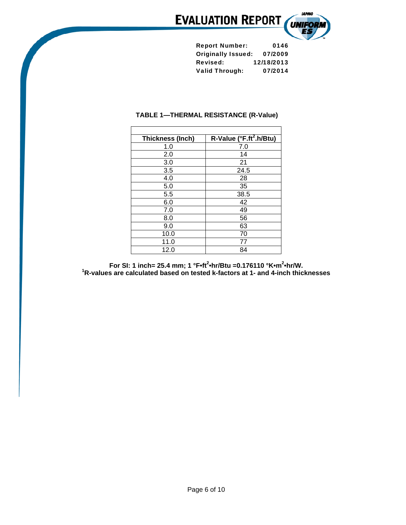

| <b>Report Number:</b>     | 0146       |
|---------------------------|------------|
| <b>Originally Issued:</b> | 07/2009    |
| <b>Revised:</b>           | 12/18/2013 |
| <b>Valid Through:</b>     | 07/2014    |

# **TABLE 1—THERMAL RESISTANCE (R-Value)**

Г

| Thickness (Inch) | R-Value (°F.ft <sup>2</sup> .h/Btu) |  |  |
|------------------|-------------------------------------|--|--|
| 1.0              | 7.0                                 |  |  |
| 2.0              | 14                                  |  |  |
| 3.0              | 21                                  |  |  |
| 3.5              | 24.5                                |  |  |
| 4.0              | 28                                  |  |  |
| 5.0              | 35                                  |  |  |
| 5.5              | 38.5                                |  |  |
| 6.0              | 42                                  |  |  |
| 7.0              | 49                                  |  |  |
| 8.0              | 56                                  |  |  |
| 9.0              | 63                                  |  |  |
| 10.0             | 70                                  |  |  |
| 11.0             | 77                                  |  |  |
| 12.0             | 84                                  |  |  |

**For SI: 1 inch= 25.4 mm; 1 °F•ft<sup>2</sup>•hr/Btu =0.176110 °K•m<sup>2</sup>•hr/W.<br><sup>1</sup>R-values are calculated based on tested k-factors at 1- and 4-inch thicknesses**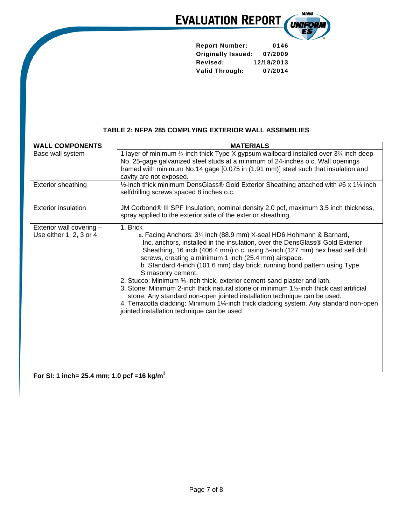

| <b>Report Number:</b>     | 0146       |  |
|---------------------------|------------|--|
| <b>Originally Issued:</b> | 07/2009    |  |
| <b>Revised:</b>           | 12/18/2013 |  |
| <b>Valid Through:</b>     | 07/2014    |  |

# **TABLE 2: NFPA 285 COMPLYING EXTERIOR WALL ASSEMBLIES**

| <b>WALL COMPONENTS</b>                              | <b>MATERIALS</b>                                                                                                                                                                                                                                                                                                                                                                                                                                                                                                                                                                                                                                                                                                                                                                                                                            |
|-----------------------------------------------------|---------------------------------------------------------------------------------------------------------------------------------------------------------------------------------------------------------------------------------------------------------------------------------------------------------------------------------------------------------------------------------------------------------------------------------------------------------------------------------------------------------------------------------------------------------------------------------------------------------------------------------------------------------------------------------------------------------------------------------------------------------------------------------------------------------------------------------------------|
| Base wall system                                    | 1 layer of minimum 5/ <sub>8</sub> -inch thick Type X gypsum wallboard installed over 3 <sup>5</sup> / <sub>8</sub> inch deep<br>No. 25-gage galvanized steel studs at a minimum of 24-inches o.c. Wall openings<br>framed with minimum No.14 gage [0.075 in (1.91 mm)] steel such that insulation and<br>cavity are not exposed.                                                                                                                                                                                                                                                                                                                                                                                                                                                                                                           |
| <b>Exterior sheathing</b>                           | 1/2-inch thick minimum DensGlass® Gold Exterior Sheathing attached with #6 x 11/4 inch<br>selfdrilling screws spaced 8 inches o.c.                                                                                                                                                                                                                                                                                                                                                                                                                                                                                                                                                                                                                                                                                                          |
| <b>Exterior insulation</b>                          | JM Corbond® III SPF Insulation, nominal density 2.0 pcf, maximum 3.5 inch thickness,<br>spray applied to the exterior side of the exterior sheathing.                                                                                                                                                                                                                                                                                                                                                                                                                                                                                                                                                                                                                                                                                       |
| Exterior wall covering -<br>Use either 1, 2, 3 or 4 | 1. Brick<br>a. Facing Anchors: 3 <sup>1</sup> / <sub>2</sub> inch (88.9 mm) X-seal HD6 Hohmann & Barnard,<br>Inc. anchors, installed in the insulation, over the DensGlass® Gold Exterior<br>Sheathing, 16 inch (406.4 mm) o.c. using 5-inch (127 mm) hex head self drill<br>screws, creating a minimum 1 inch (25.4 mm) airspace.<br>b. Standard 4-inch (101.6 mm) clay brick; running bond pattern using Type<br>S masonry cement.<br>2. Stucco: Minimum 3/4-inch thick, exterior cement-sand plaster and lath.<br>3. Stone: Minimum 2-inch thick natural stone or minimum $1\frac{1}{2}$ -inch thick cast artificial<br>stone. Any standard non-open jointed installation technique can be used.<br>4. Terracotta cladding: Minimum 11/4-inch thick cladding system. Any standard non-open<br>jointed installation technique can be used |

**For SI: 1 inch= 25.4 mm; 1.0 pcf =16 kg/m3**